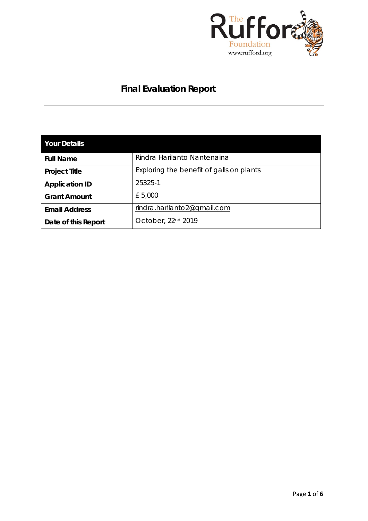

# **Final Evaluation Report**

| <b>Your Details</b>   |                                          |
|-----------------------|------------------------------------------|
| <b>Full Name</b>      | Rindra Harilanto Nantenaina              |
| <b>Project Title</b>  | Exploring the benefit of galls on plants |
| <b>Application ID</b> | 25325-1                                  |
| <b>Grant Amount</b>   | £ 5,000                                  |
| <b>Email Address</b>  | rindra.harilanto2@gmail.com              |
| Date of this Report   | October, 22 <sup>nd</sup> 2019           |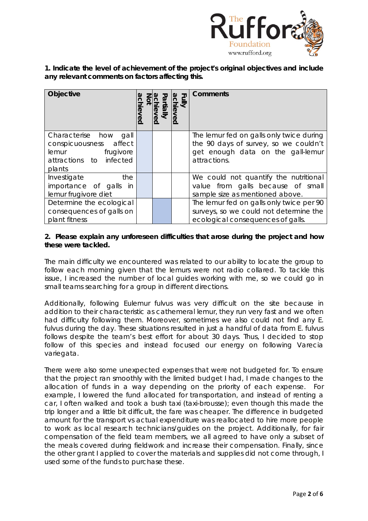

**1. Indicate the level of achievement of the project's original objectives and include any relevant comments on factors affecting this.** 

| <b>Objective</b>                                                                                           | iall<br>N | Fully<br>Killy | Comments                                                                                                                               |
|------------------------------------------------------------------------------------------------------------|-----------|----------------|----------------------------------------------------------------------------------------------------------------------------------------|
| Characterise how<br>gall<br>conspicuousness affect<br>lemur frugivore<br>attractions to infected<br>plants |           |                | The lemur fed on galls only twice during<br>the 90 days of survey, so we couldn't<br>get enough data on the gall-lemur<br>attractions. |
| Investigate<br>the<br>importance of galls<br>in<br>lemur frugivore diet                                    |           |                | We could not quantify the nutritional<br>value from galls because of small<br>sample size as mentioned above.                          |
| Determine the ecological<br>consequences of galls on<br>plant fitness                                      |           |                | The lemur fed on galls only twice per 90<br>surveys, so we could not determine the<br>ecological consequences of galls.                |

## **2. Please explain any unforeseen difficulties that arose during the project and how these were tackled.**

The main difficulty we encountered was related to our ability to locate the group to follow each morning given that the lemurs were not radio collared. To tackle this issue, I increased the number of local guides working with me, so we could go in small teams searching for a group in different directions.

Additionally, following *Eulemur fulvus* was very difficult on the site because in addition to their characteristic as cathemeral lemur, they run very fast and we often had difficulty following them. Moreover, sometimes we also could not find any *E. fulvus* during the day. These situations resulted in just a handful of data from *E. fulvus*  follows despite the team's best effort for about 30 days. Thus, I decided to stop follow of this species and instead focused our energy on following *Varecia variegata*.

There were also some unexpected expenses that were not budgeted for. To ensure that the project ran smoothly with the limited budget I had, I made changes to the allocation of funds in a way depending on the priority of each expense. For example, I lowered the fund allocated for transportation, and instead of renting a car, I often walked and took a bush taxi (taxi-brousse); even though this made the trip longer and a little bit difficult, the fare was cheaper. The difference in budgeted amount for the transport vs actual expenditure was reallocated to hire more people to work as local research technicians/guides on the project. Additionally, for fair compensation of the field team members, we all agreed to have only a subset of the meals covered during fieldwork and increase their compensation. Finally, since the other grant I applied to cover the materials and supplies did not come through, I used some of the funds to purchase these.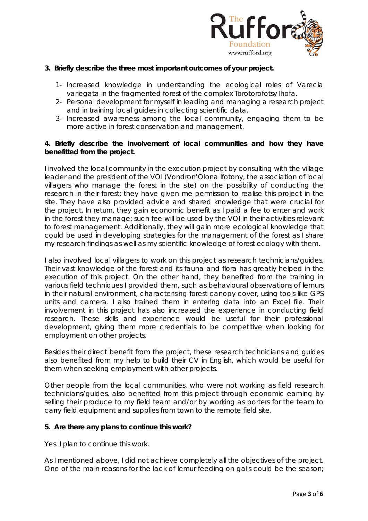

## **3. Briefly describe the three most important outcomes of your project.**

- 1- Increased knowledge in understanding the ecological roles of *Varecia variegata* in the fragmented forest of the complex Torotorofotsy Ihofa.
- 2- Personal development for myself in leading and managing a research project and in training local guides in collecting scientific data.
- 3- Increased awareness among the local community, engaging them to be more active in forest conservation and management.

## **4. Briefly describe the involvement of local communities and how they have benefitted from the project.**

I involved the local community in the execution project by consulting with the village leader and the president of the VOI (Vondron'Olona Ifotony, the association of local villagers who manage the forest in the site) on the possibility of conducting the research in their forest; they have given me permission to realise this project in the site. They have also provided advice and shared knowledge that were crucial for the project. In return, they gain economic benefit as I paid a fee to enter and work in the forest they manage; such fee will be used by the VOI in their activities relevant to forest management. Additionally, they will gain more ecological knowledge that could be used in developing strategies for the management of the forest as I share my research findings as well as my scientific knowledge of forest ecology with them.

I also involved local villagers to work on this project as research technicians/guides. Their vast knowledge of the forest and its fauna and flora has greatly helped in the execution of this project. On the other hand, they benefited from the training in various field techniques I provided them, such as behavioural observations of lemurs in their natural environment, characterising forest canopy cover, using tools like GPS units and camera. I also trained them in entering data into an Excel file. Their involvement in this project has also increased the experience in conducting field research. These skills and experience would be useful for their professional development, giving them more credentials to be competitive when looking for employment on other projects.

Besides their direct benefit from the project, these research technicians and guides also benefited from my help to build their CV in English, which would be useful for them when seeking employment with other projects.

Other people from the local communities, who were not working as field research technicians/guides, also benefited from this project through economic earning by selling their produce to my field team and/or by working as porters for the team to carry field equipment and supplies from town to the remote field site.

#### **5. Are there any plans to continue this work?**

Yes. I plan to continue this work.

As I mentioned above, I did not achieve completely all the objectives of the project. One of the main reasons for the lack of lemur feeding on galls could be the season;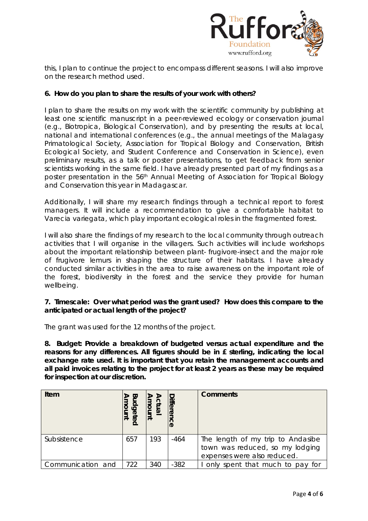

this, I plan to continue the project to encompass different seasons. I will also improve on the research method used.

## **6. How do you plan to share the results of your work with others?**

I plan to share the results on my work with the scientific community by publishing at least one scientific manuscript in a peer-reviewed ecology or conservation journal (e.g., Biotropica, Biological Conservation), and by presenting the results at local, national and international conferences (e.g., the annual meetings of the Malagasy Primatological Society, Association for Tropical Biology and Conservation, British Ecological Society, and Student Conference and Conservation in Science), even preliminary results, as a talk or poster presentations, to get feedback from senior scientists working in the same field. I have already presented part of my findings as a poster presentation in the 56th Annual Meeting of Association for Tropical Biology and Conservation this year in Madagascar.

Additionally, I will share my research findings through a technical report to forest managers. It will include a recommendation to give a comfortable habitat to *Varecia variegata,* which play important ecological roles in the fragmented forest.

I will also share the findings of my research to the local community through outreach activities that I will organise in the villagers. Such activities will include workshops about the important relationship between plant- frugivore-insect and the major role of frugivore lemurs in shaping the structure of their habitats. I have already conducted similar activities in the area to raise awareness on the important role of the forest, biodiversity in the forest and the service they provide for human wellbeing.

## **7. Timescale: Over what period was the grant used? How does this compare to the anticipated or actual length of the project?**

The grant was used for the 12 months of the project.

**8. Budget: Provide a breakdown of budgeted versus actual expenditure and the reasons for any differences. All figures should be in £ sterling, indicating the local exchange rate used. It is important that you retain the management accounts and all paid invoices relating to the project for at least 2 years as these may be required for inspection at our discretion.**

| Item              | ᡂ<br><b>Gpr</b><br>mount<br>lete | mount<br>ctual | <b>Differe</b><br>င္ပ | <b>Comments</b>                                                                                     |
|-------------------|----------------------------------|----------------|-----------------------|-----------------------------------------------------------------------------------------------------|
| Subsistence       | 657                              | 193            | $-464$                | The length of my trip to Andasibe<br>town was reduced, so my lodging<br>expenses were also reduced. |
| Communication and | 722                              | 340            | $-382$                | only spent that much to pay for                                                                     |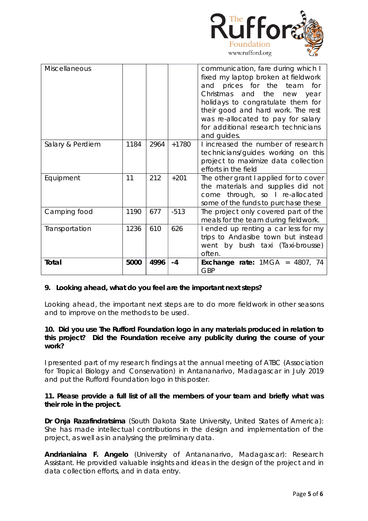

| Miscellaneous    |      |      |         | communication, fare during which I<br>fixed my laptop broken at fieldwork<br>and prices for the team for<br>Christmas and the new year<br>holidays to congratulate them for<br>their good and hard work. The rest<br>was re-allocated to pay for salary<br>for additional research technicians<br>and guides. |
|------------------|------|------|---------|---------------------------------------------------------------------------------------------------------------------------------------------------------------------------------------------------------------------------------------------------------------------------------------------------------------|
| Salary & Perdiem | 1184 | 2964 | $+1780$ | I increased the number of research<br>technicians/guides working on this<br>project to maximize data collection<br>efforts in the field                                                                                                                                                                       |
| Equipment        | 11   | 212  | $+201$  | The other grant I applied for to cover<br>the materials and supplies did not<br>come through, so I re-allocated<br>some of the funds to purchase these                                                                                                                                                        |
| Camping food     | 1190 | 677  | $-513$  | The project only covered part of the<br>meals for the team during fieldwork.                                                                                                                                                                                                                                  |
| Transportation   | 1236 | 610  | 626     | I ended up renting a car less for my<br>trips to Andasibe town but instead<br>went by bush taxi (Taxi-brousse)<br>often.                                                                                                                                                                                      |
| Total            | 5000 | 4996 | $-4$    | Exchange rate: $1MGA = 4807$ , 74<br><b>GBP</b>                                                                                                                                                                                                                                                               |

## **9. Looking ahead, what do you feel are the important next steps?**

Looking ahead, the important next steps are to do more fieldwork in other seasons and to improve on the methods to be used.

#### **10. Did you use The Rufford Foundation logo in any materials produced in relation to this project? Did the Foundation receive any publicity during the course of your work?**

I presented part of my research findings at the annual meeting of ATBC (Association for Tropical Biology and Conservation) in Antananarivo, Madagascar in July 2019 and put the Rufford Foundation logo in this poster.

## **11. Please provide a full list of all the members of your team and briefly what was their role in the project.**

**Dr Onja Razafindratsima** (South Dakota State University, United States of America): She has made intellectual contributions in the design and implementation of the project, as well as in analysing the preliminary data.

**Andrianiaina F. Angelo** (University of Antananarivo, Madagascar): Research Assistant. He provided valuable insights and ideas in the design of the project and in data collection efforts, and in data entry.